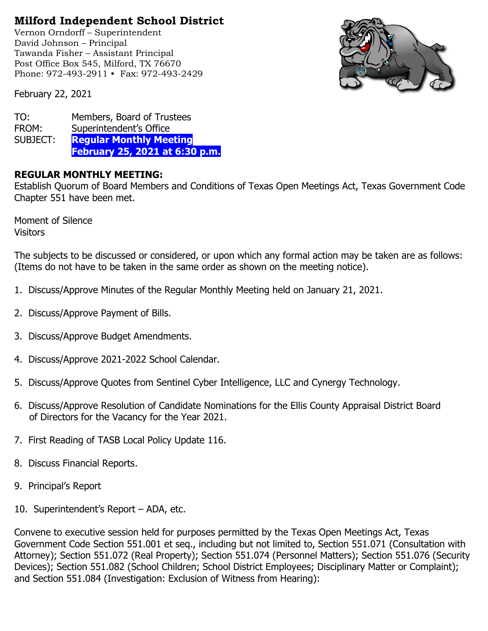## **Milford Independent School District**

Vernon Orndorff – Superintendent David Johnson – Principal Tawanda Fisher – Assistant Principal Post Office Box 545, Milford, TX 76670 Phone: 972-493-2911 • Fax: 972-493-2429



February 22, 2021

| TO:      | Members, Board of Trustees            |
|----------|---------------------------------------|
| FROM:    | Superintendent's Office               |
| SUBJECT: | <b>Regular Monthly Meeting</b>        |
|          | <b>February 25, 2021 at 6:30 p.m.</b> |

## **REGULAR MONTHLY MEETING:**

Establish Quorum of Board Members and Conditions of Texas Open Meetings Act, Texas Government Code Chapter 551 have been met.

Moment of Silence **Visitors** 

The subjects to be discussed or considered, or upon which any formal action may be taken are as follows: (Items do not have to be taken in the same order as shown on the meeting notice).

- 1. Discuss/Approve Minutes of the Regular Monthly Meeting held on January 21, 2021.
- 2. Discuss/Approve Payment of Bills.
- 3. Discuss/Approve Budget Amendments.
- 4. Discuss/Approve 2021-2022 School Calendar.
- 5. Discuss/Approve Quotes from Sentinel Cyber Intelligence, LLC and Cynergy Technology.
- 6. Discuss/Approve Resolution of Candidate Nominations for the Ellis County Appraisal District Board of Directors for the Vacancy for the Year 2021.
- 7. First Reading of TASB Local Policy Update 116.
- 8. Discuss Financial Reports.
- 9. Principal's Report
- 10. Superintendent's Report ADA, etc.

Convene to executive session held for purposes permitted by the Texas Open Meetings Act, Texas Government Code Section 551.001 et seq., including but not limited to, Section 551.071 (Consultation with Attorney); Section 551.072 (Real Property); Section 551.074 (Personnel Matters); Section 551.076 (Security Devices); Section 551.082 (School Children; School District Employees; Disciplinary Matter or Complaint); and Section 551.084 (Investigation: Exclusion of Witness from Hearing):